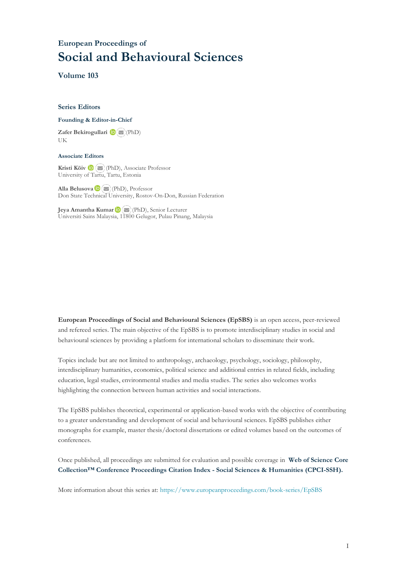## **European Proceedings of Social and Behavioural Sciences**

**Volume 103**

#### **Series Editors**

#### **Founding & Editor-in-Chief**

**Zafer Bekirogullari**(PhD) UK

#### **Associate Editors**

**Kristi Köiv** (PhD), Associate Professor University of Tartu, Tartu, Estonia

**Alla Belusova**(PhD), Professor Don State Technical University, Rostov-On-Don, Russian Federation

**Jeya Amantha Kumar**(PhD), Senior Lecturer Universiti Sains Malaysia, [1180](mailto:amantha@usm.my)0 Gelugor, Pulau Pinang, Malaysia

**European Proceedings of Social and Behavioural Sciences (EpSBS)** is an open access, peer-reviewed and refereed series. The main objective of the EpSBS is to promote interdisciplinary studies in social and behavioural sciences by providing a platform for international scholars to disseminate their work.

Topics include but are not limited to anthropology, archaeology, psychology, sociology, philosophy, interdisciplinary humanities, economics, political science and additional entries in related fields, including education, legal studies, environmental studies and media studies. The series also welcomes works highlighting the connection between human activities and social interactions.

The EpSBS publishes theoretical, experimental or application-based works with the objective of contributing to a greater understanding and development of social and behavioural sciences. EpSBS publishes either monographs for example, master thesis/doctoral dissertations or edited volumes based on the outcomes of conferences.

Once published, all proceedings are submitted for evaluation and possible coverage in **Web of [Science](https://clarivate.com/webofsciencegroup/solutions/webofscience-cpci/) Core Collection™ Conference Proceedings Citation Index - Social Sciences & Humanities [\(CPCI-SSH\).](https://clarivate.com/webofsciencegroup/solutions/webofscience-cpci/)**

More information about this series at[: https://www.europeanproceedings.com/book-series/EpSBS](https://www.europeanproceedings.com/book-series/EpSBS)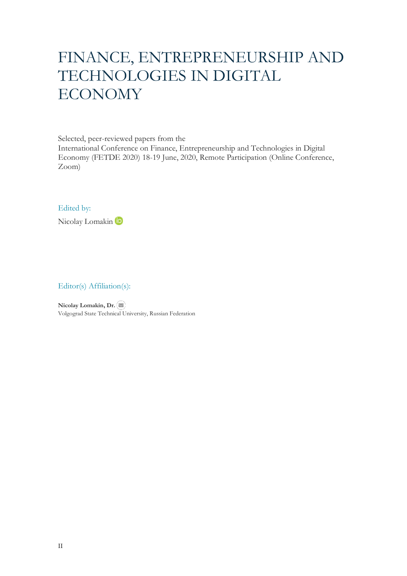# FINANCE, ENTREPRENEURSHIP AND TECHNOLOGIES IN DIGITAL ECONOMY

Selected, peer-reviewed papers from the

International Conference on Finance, Entrepreneurship and Technologies in Digital Economy (FETDE 2020) 18-19 June, 2020, Remote Participation (Online Conference, Zoom)

#### Edited by:

Nicolay Lomakin (D

#### Editor(s) Affiliation(s):

**Nicolay Lomakin, Dr.** Volgograd State Technical University, Russian Federation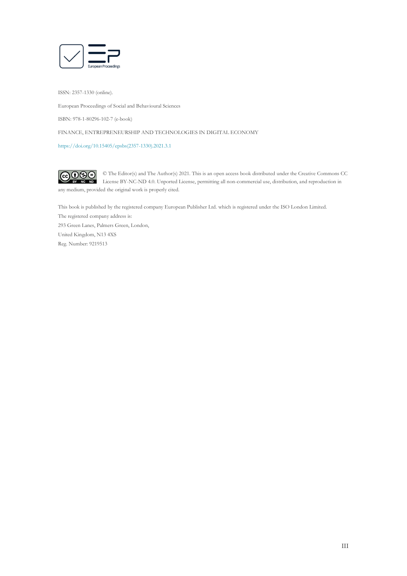

ISSN: 2357-1330 (online).

European Proceedings of Social and Behavioural Sciences

ISBN: 978-1-80296-102-7 (e-book)

FINANCE, ENTREPRENEURSHIP AND TECHNOLOGIES IN DIGITAL ECONOMY

[https://doi.org/10.15405/epsbs\(2357-1330\).2021.3.1](https://doi.org/10.15405/epsbs(2357-1330).2021.3.1)

 $G \odot \odot$ © The Editor(s) and The Author(s) 2021. This is an open access book distributed under the Creative Commons CC License BY-NC-ND 4.0. Unported License, permitting all non-commercial use, distribution, and reproduction in  $\overline{ND}$ any medium, provided the original work is properly cited.

This book is published by the registered company European Publisher Ltd. which is registered under the ISO London Limited. The registered company address is: 293 Green Lanes, Palmers Green, London, United Kingdom, N13 4XS Reg. Number: 9219513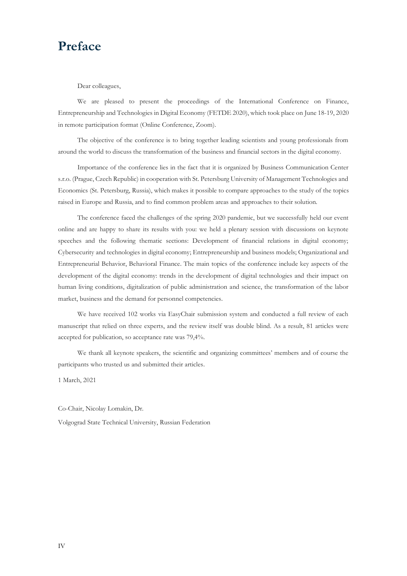## **Preface**

Dear colleagues,

We are pleased to present the proceedings of the International Conference on Finance, Entrepreneurship and Technologies in Digital Economy (FETDE 2020), which took place on June 18-19, 2020 in remote participation format (Online Conference, Zoom).

The objective of the conference is to bring together leading scientists and young professionals from around the world to discuss the transformation of the business and financial sectors in the digital economy.

Importance of the conference lies in the fact that it is organized by Business Communication Center s.r.o. (Prague, Czech Republic) in cooperation with St. Petersburg University of Management Technologies and Economics (St. Petersburg, Russia), which makes it possible to compare approaches to the study of the topics raised in Europe and Russia, and to find common problem areas and approaches to their solution.

The conference faced the challenges of the spring 2020 pandemic, but we successfully held our event online and are happy to share its results with you: we held a plenary session with discussions on keynote speeches and the following thematic sections: Development of financial relations in digital economy; Cybersecurity and technologies in digital economy; Entrepreneurship and business models; Organizational and Entrepreneurial Behavior, Behavioral Finance. The main topics of the conference include key aspects of the development of the digital economy: trends in the development of digital technologies and their impact on human living conditions, digitalization of public administration and science, the transformation of the labor market, business and the demand for personnel competencies.

We have received 102 works via EasyChair submission system and conducted a full review of each manuscript that relied on three experts, and the review itself was double blind. As a result, 81 articles were accepted for publication, so acceptance rate was 79,4%.

We thank all keynote speakers, the scientific and organizing committees' members and of course the participants who trusted us and submitted their articles.

1 March, 2021

Co-Chair, Nicolay Lomakin, Dr.

Volgograd State Technical University, Russian Federation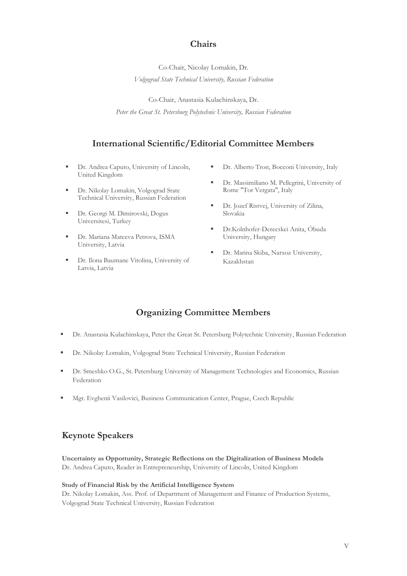### **Chairs**

Co-Chair, Nicolay Lomakin, Dr. *Volgograd State Technical University, Russian Federation*

Co-Chair, Anastasia Kulachinskaya, Dr. *Peter the Great St. Petersburg Polytechnic University, Russian Federation*

### **International Scientific/Editorial Committee Members**

- Dr. Andrea Caputo, University of Lincoln, United Kingdom
- Dr. Nikolay Lomakin, Volgograd State Technical University, Russian Federation
- Dr. Georgi M. Dimirovski, Dogus Universitesi, Turkey
- Dr. Mariana Mateeva Petrova, ISMA University, Latvia
- Dr. Ilona Baumane Vitolina, University of Latvia, Latvia
- Dr. Alberto Tron, Bocconi University, Italy
- Dr. Massimiliano M. Pellegrini, University of Rome "Tor Vergata", Italy
- Dr. Jozef Ristvej, University of Zilina, Slovakia
- Dr.Kolnhofer-Derecskei Anita, Óbuda University, Hungary
- Dr. Marina Skiba, Narxoz University, Kazakhstan

## **Organizing Committee Members**

- Dr. Anastasia Kulachinskaya, Peter the Great St. Petersburg Polytechnic University, Russian Federation
- Dr. Nikolay Lomakin, Volgograd State Technical University, Russian Federation
- Dr. Smeshko O.G., St. Petersburg University of Management Technologies and Economics, Russian Federation
- Mgr. Evghenii Vasilovici, Business Communication Center, Prague, Czech Republic

### **Keynote Speakers**

**Uncertainty as Opportunity, Strategic Reflections on the Digitalization of Business Models** Dr. Andrea Caputo, Reader in Entrepreneurship, University of Lincoln, United Kingdom

#### **Study of Financial Risk by the Artificial Intelligence System**

Dr. Nikolay Lomakin, Ass. Prof. of Department of Management and Finance of Production Systems, Volgograd State Technical University, Russian Federation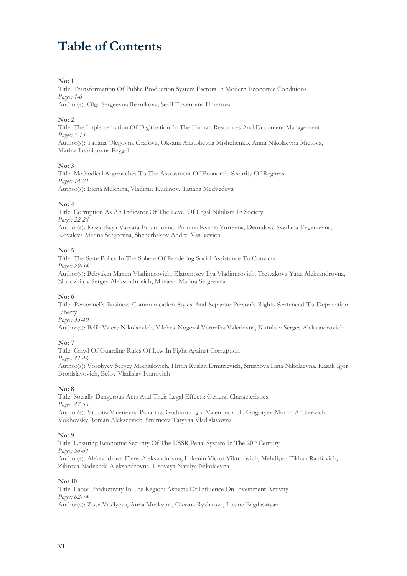## **Table of Contents**

#### **No: 1**

Title: Transformation Of Public Production System Factors In Modern Economic Conditions *Pages: 1-6* Author(s): Olga Sergeevna Reznikova, Sevil Enverovna Umerova

#### **No: 2**

Title: The Implementation Of Digitization In The Human Resources And Document Management *Pages: 7-13*

Author(s): Tatiana Olegovna Grafova, Oksana Anatolievna Mishchenko, Anna Nikolaevna Mietova, Marina Leonidovna Feygel

#### **No: 3**

Title: Methodical Approaches To The Assessment Of Economic Security Of Regions *Pages: 14-21* Author(s): Elena Mukhina, Vladimir Kudinov, Tatiana Medvedeva

#### **No: 4**

Title: Corruption As An Indicator Of The Level Of Legal Nihilism In Society *Pages: 22-28* Author(s): Kozatskaya Varvara Eduardovna, Pronina Ksenia Yurievna, Demidova Svetlana Evgenievna, Kovaleva Marina Sergeevna, Shcherbakov Andrei Vasilyevich

#### **No: 5**

Title: The State Policy In The Sphere Of Rendering Social Assistance To Convicts *Pages: 29-34* Author(s): Bebyakin Maxim Vladimirovich, Elatomtsev Ilya Vladimirovich, Tretyakova Yana Aleksandrovna, Novozhilov Sergey Aleksandrovich, Minaeva Marina Sergeevna

#### **No: 6**

Title: Personnel's Business Communication Styles And Separate Person's Rights Sentenced To Deprivation Liberty

*Pages: 35-40*

Author(s): Belik Valery Nikolaevich, Vilches-Nogerol Veronika Valerievna, Kutukov Sergey Aleksandrovich

#### **No: 7**

Title: Crawl Of Guarding Rules Of Law In Fight Against Corruption *Pages: 41-46* Author(s): Vorobyev Sergey Mikhailovich, Hritin Ruslan Dmitrievich, Smirnova Irina Nikolaevna, Kazak Igor Bronislavovich, Belov Vladislav Ivanovich

#### **No: 8**

Title: Socially Dangerous Acts And Their Legal Effects: General Characteristics *Pages: 47-55* Author(s): Victoria Valerievna Panarina, Godunov Igor Valentinovich, Grigoryev Maxim Andreevich, Vokhovsky Roman Alekseevich, Smirnova Tatyana Vladislavovna

#### **No: 9**

Title: Ensuring Economic Security Of The USSR Penal System In The 20th Century *Pages: 56-61* Author(s): Aleksandrova Elena Aleksandrovna, Lukanin Victor Viktorovich, Mehdiyev Elkhan Raufovich, Zibrova Nadezhda Aleksandrovna, Lisovaya Natalya Nikolaevna

#### **No: 10**

Title: Labor Productivity In The Region: Aspects Of Influence On Investment Activity *Pages: 62-74* Author(s): Zoya Vasilyeva, Anna Moskvina, Oksana Ryzhkova, Lusine Bagdasaryan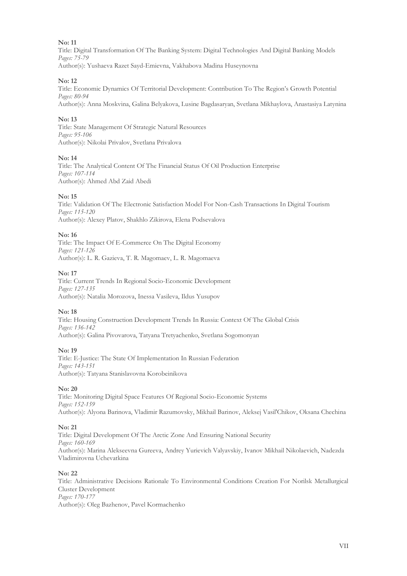Title: Digital Transformation Of The Banking System: Digital Technologies And Digital Banking Models *Pages: 75-79* Author(s): Yushaeva Razet Sayd-Emievna, Vakhabova Madina Huseynovna

#### **No: 12**

Title: Economic Dynamics Of Territorial Development: Contribution To The Region's Growth Potential *Pages: 80-94*

Author(s): Anna Moskvina, Galina Belyakova, Lusine Bagdasaryan, Svetlana Mikhaylova, Anastasiya Latynina

#### **No: 13**

Title: State Management Of Strategic Natural Resources *Pages: 95-106* Author(s): Nikolai Privalov, Svetlana Privalova

#### **No: 14**

Title: The Analytical Content Of The Financial Status Of Oil Production Enterprise *Pages: 107-114* Author(s): Ahmed Abd Zaid Abedi

#### **No: 15**

Title: Validation Of The Electronic Satisfaction Model For Non-Cash Transactions In Digital Tourism *Pages: 115-120* Author(s): Alexey Platov, Shakhlo Zikirova, Elena Podsevalova

#### **No: 16**

Title: The Impact Of E-Commerce On The Digital Economy *Pages: 121-126* Author(s): L. R. Gazieva, T. R. Magomaev, L. R. Magomaeva

#### **No: 17**

Title: Current Trends In Regional Socio-Economic Development *Pages: 127-135* Author(s): Natalia Morozova, Inessa Vasileva, Ildus Yusupov

#### **No: 18**

Title: Housing Construction Development Trends In Russia: Context Of The Global Crisis *Pages: 136-142* Author(s): Galina Pivovarova, Tatyana Tretyachenko, Svetlana Sogomonyan

#### **No: 19**

Title: E-Justice: The State Of Implementation In Russian Federation *Pages: 143-151* Author(s): Tatyana Stanislavovna Korobeinikova

#### **No: 20**

Title: Monitoring Digital Space Features Of Regional Socio-Economic Systems *Pages: 152-159* Author(s): Alyona Barinova, Vladimir Razumovsky, Mikhail Barinov, Aleksej Vasil'Chikov, Oksana Chechina

#### **No: 21**

Title: Digital Development Of The Arctic Zone And Ensuring National Security *Pages: 160-169* Author(s): Marina Alekseevna Gureeva, Andrey Yurievich Valyavskiy, Ivanov Mikhail Nikolaevich, Nadezda Vladimirovna Uchevatkina

#### **No: 22**

Title: Administrative Decisions Rationale To Environmental Conditions Creation For Norilsk Metallurgical Cluster Development *Pages: 170-177* Author(s): Oleg Bazhenov, Pavel Kormachenko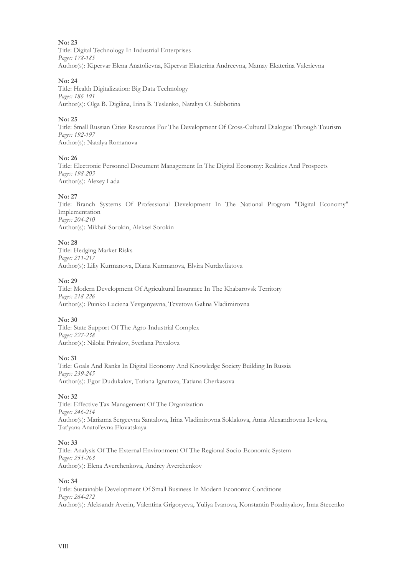Title: Digital Technology In Industrial Enterprises *Pages: 178-185* Author(s): Kipervar Elena Anatolievna, Kipervar Ekaterina Andreevna, Mamay Ekaterina Valerievna

#### **No: 24**

Title: Health Digitalization: Big Data Technology *Pages: 186-191* Author(s): Olga B. Digilina, Irina B. Teslenko, Nataliya O. Subbotina

#### **No: 25**

Title: Small Russian Cities Resources For The Development Of Cross-Cultural Dialogue Through Tourism *Pages: 192-197* Author(s): Natalya Romanova

#### **No: 26**

Title: Electronic Personnel Document Management In The Digital Economy: Realities And Prospects *Pages: 198-203* Author(s): Alexey Lada

#### **No: 27**

Title: Branch Systems Of Professional Development In The National Program "Digital Economy" Implementation *Pages: 204-210* Author(s): Mikhail Sorokin, Aleksei Sorokin

#### **No: 28**

Title: Hedging Market Risks *Pages: 211-217* Author(s): Liliy Kurmanova, Diana Kurmanova, Elvira Nurdavliatova

#### **No: 29**

Title: Modern Development Of Agricultural Insurance In The Khabarovsk Territory *Pages: 218-226* Author(s): Puinko Luciena Yevgenyevna, Tcvetova Galina Vladimirovna

#### **No: 30**

Title: State Support Of The Agro-Industrial Complex *Pages: 227-238* Author(s): Nilolai Privalov, Svetlana Privalova

#### **No: 31**

Title: Goals And Ranks In Digital Economy And Knowledge Society Building In Russia *Pages: 239-245* Author(s): Egor Dudukalov, Tatiana Ignatova, Tatiana Cherkasova

#### **No: 32**

Title: Effective Tax Management Of The Organization *Pages: 246-254* Author(s): Marianna Sergeevna Santalova, Irina Vladimirovna Soklakova, Anna Alexandrovna Ievleva, Tat'yana Anatol'evna Elovatskaya

#### **No: 33**

Title: Analysis Of The External Environment Of The Regional Socio-Economic System *Pages: 255-263* Author(s): Elena Averchenkova, Andrey Averchenkov

#### **No: 34**

Title: Sustainable Development Of Small Business In Modern Economic Conditions *Pages: 264-272* Author(s): Aleksandr Averin, Valentina Grigoryeva, Yuliya Ivanova, Konstantin Pozdnyakov, Inna Stecenko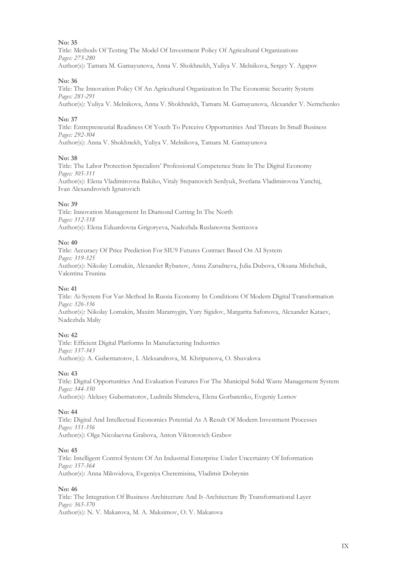Title: Methods Of Testing The Model Of Investment Policy Of Agricultural Organizations *Pages: 273-280* Author(s): Tamara M. Gamayunova, Anna V. Shokhnekh, Yuliya V. Melnikova, Sergey Y. Agapov

#### **No: 36**

Title: The Innovation Policy Of An Agricultural Organization In The Economic Security System *Pages: 281-291* Author(s): Yuliya V. Melnikova, Anna V. Shokhnekh, Tamara M. Gamayunova, Alexander V. Nemchenko

#### **No: 37**

Title: Entrepreneurial Readiness Of Youth To Perceive Opportunities And Threats In Small Business *Pages: 292-304* Author(s): Anna V. Shokhnekh, Yuliya V. Melnikova, Tamara M. Gamayunova

#### **No: 38**

Title: The Labor Protection Specialists' Professional Competence State In The Digital Economy *Pages: 305-311* Author(s): Elena Vladimirovna Bakiko, Vitaly Stepanovich Serdyuk, Svetlana Vladimirovna Yanchij, Ivan Alexandrovich Ignatovich

#### **No: 39**

Title: Innovation Management In Diamond Cutting In The North *Pages: 312-318* Author(s): Elena Eduardovna Grigoryeva, Nadezhda Ruslanovna Sentizova

#### **No: 40**

Title: Accuracy Of Price Prediction For SIU9 Futures Contract Based On AI System *Pages: 319-325* Author(s): Nikolay Lomakin, Alexander Rybanov, Anna Zarudneva, Julia Dubova, Oksana Mishchuk, Valentina Trunina

#### **No: 41**

Title: Ai-System For Var-Method In Russia Economy In Conditions Of Modern Digital Transformation *Pages: 326-336* Author(s): Nikolay Lomakin, Maxim Maramygin, Yury Sigidov, Margarita Safonova, Alexander Kataev, Nadezhda Maliy

#### **No: 42**

Title: Efficient Digital Platforms In Manufacturing Industries *Pages: 337-343* Author(s): A. Gubernatorov, I. Aleksandrova, M. Khripunova, O. Shuvalova

#### **No: 43**

Title: Digital Opportunities And Evaluation Features For The Municipal Solid Waste Management System *Pages: 344-350* Author(s): Aleksey Gubernatorov, Ludmila Shmeleva, Elena Gorbatenko, Evgeniy Lomov

#### **No: 44**

Title: Digital And Intellectual Economics Potential As A Result Of Modern Investment Processes *Pages: 351-356* Author(s): Olga Nicolaevna Grabova, Anton Viktorovich Grabov

#### **No: 45**

Title: Intelligent Control System Of An Industrial Enterprise Under Uncertainty Of Information *Pages: 357-364* Author(s): Anna Milovidova, Evgeniya Cheremisina, Vladimir Dobrynin

#### **No: 46**

Title: The Integration Of Business Architecture And It-Architecture By Transformational Layer *Pages: 365-370* Author(s): N. V. Makarova, M. A. Maksimov, O. V. Makarova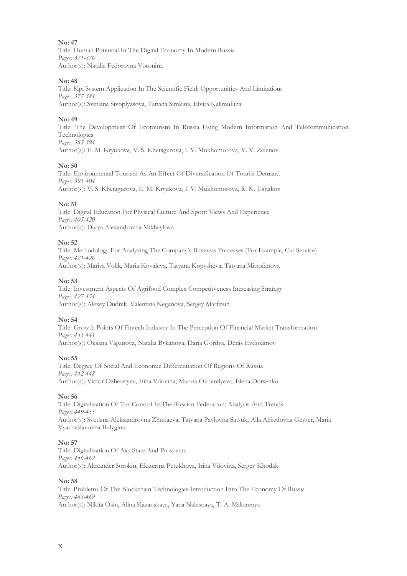Title: Human Potential In The Digital Economy In Modern Russia *Pages: 371-376* Author(s): Natalia Fedorovna Voronina

#### **No: 48**

Title: Kpi System Application In The Scientific Field: Opportunities And Limitations *Pages: 377-384* Author(s): Svetlana Sivoplyasova, Tatiana Simkina, Elvira Kalimullina

#### **No: 49**

Title: The Development Of Ecotourism In Russia Using Modern Information And Telecommunication Technologies *Pages: 385-394*

Author(s): E. M. Kryukova, V. S. Khetagurova, I. V. Mukhomorova, V. V. Zelenov

#### **No: 50**

Title: Environmental Tourism As An Effect Of Diversification Of Tourist Demand *Pages: 395-404* Author(s): V. S. Khetagurova, E. M. Kryukova, I. V. Mukhomorova, R. N. Ushakov

#### **No: 51**

Title: Digital Education For Physical Culture And Sport: Views And Experience *Pages: 405-420* Author(s): Darya Alexandrovna Mikhaylova

#### **No: 52**

Title: Methodology For Analyzing The Company's Business Processes (For Example, Car Service) *Pages: 421-426* Author(s): Mariya Volik, Maria Kovaleva, Tatyana Kopysheva, Tatyana Mitrofanova

#### **No: 53**

Title: Investment Aspects Of Agrifood Complex Competitveness Increasing Strategy *Pages: 427-434* Author(s): Alexey Dudnik, Valentina Neganova, Sergey Marfitsin

#### **No: 54**

Title: Growth Points Of Fintech Industry In The Perception Of Financial Market Transformation *Pages: 435-441* Author(s): Oksana Vaganova, Natalia Bykanova, Daria Gordya, Denis Evdokimov

#### **No: 55**

Title: Degree Of Social And Economic Differentiation Of Regions Of Russia *Pages: 442-448* Author(s): Victor Ozherelyev, Irina Vdovina, Marina Ozherelyeva, Elena Dotsenko

#### **No: 56**

Title: Digitalization Of Tax Control In The Russian Federation: Analysis And Trends *Pages: 449-455* Author(s): Svetlana Aleksandrovna Zhutiaeva, Tatyana Pavlovna Satsuk, Alla Alfredovna Geyser, Maria Vyacheslavovna Bulygina

#### **No: 57**

Title: Digitalization Of Aic: State And Prospects *Pages: 456-462* Author(s): Alexander Sorokin, Ekaterina Petukhova, Irina Vdovina, Sergey Khodak

#### **No: 58**

Title: Problems Of The Blockchain Technologies Introduction Into The Economy Of Russia *Pages: 463-469* Author(s): Nikita Osin, Alina Kazanskaya, Yana Nalesnaya, T. A. Makarenya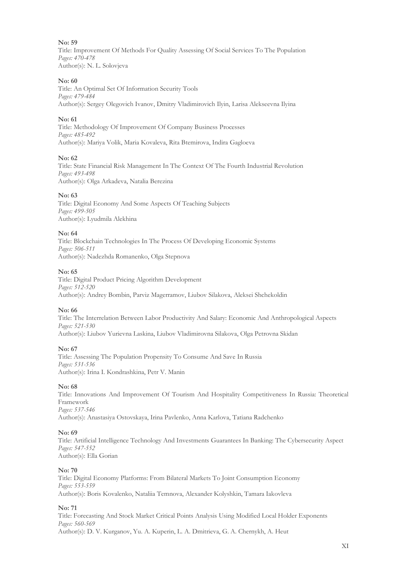Title: Improvement Of Methods For Quality Assessing Of Social Services To The Population *Pages: 470-478* Author(s): N. L. Solovjeva

#### **No: 60**

Title: An Optimal Set Of Information Security Tools *Pages: 479-484* Author(s): Sergey Olegovich Ivanov, Dmitry Vladimirovich Ilyin, Larisa Alekseevna Ilyina

#### **No: 61**

Title: Methodology Of Improvement Of Company Business Processes *Pages: 485-492* Author(s): Mariya Volik, Maria Kovaleva, Rita Btemirova, Indira Gagloeva

#### **No: 62**

Title: State Financial Risk Management In The Context Of The Fourth Industrial Revolution *Pages: 493-498* Author(s): Olga Arkadeva, Natalia Berezina

#### **No: 63**

Title: Digital Economy And Some Aspects Of Teaching Subjects *Pages: 499-505* Author(s): Lyudmila Alekhina

#### **No: 64**

Title: Blockchain Technologies In The Process Of Developing Economic Systems *Pages: 506-511* Author(s): Nadezhda Romanenko, Olga Stepnova

#### **No: 65**

Title: Digital Product Pricing Algorithm Development *Pages: 512-520* Author(s): Andrey Bombin, Parviz Magerramov, Liubov Silakova, Aleksei Shchekoldin

#### **No: 66**

Title: The Interrelation Between Labor Productivity And Salary: Economic And Anthropological Aspects *Pages: 521-530* Author(s): Liubov Yurievna Laskina, Liubov Vladimirovna Silakova, Olga Petrovna Skidan

#### **No: 67**

Title: Assessing The Population Propensity To Consume And Save In Russia *Pages: 531-536* Author(s): Irina I. Kondrashkina, Petr V. Manin

#### **No: 68**

Title: Innovations And Improvement Of Tourism And Hospitality Competitiveness In Russia: Theoretical Framework *Pages: 537-546* Author(s): Anastasiya Ostovskaya, Irina Pavlenko, Anna Karlova, Tatiana Radchenko

#### **No: 69**

Title: Artificial Intelligence Technology And Investments Guarantees In Banking: The Cybersecurity Aspect *Pages: 547-552* Author(s): Ella Gorian

#### **No: 70**

Title: Digital Economy Platforms: From Bilateral Markets To Joint Consumption Economy *Pages: 553-559* Author(s): Boris Kovalenko, Nataliia Temnova, Alexander Kolyshkin, Tamara Iakovleva

#### **No: 71**

Title: Forecasting And Stock Market Critical Points Analysis Using Modified Local Holder Exponents *Pages: 560-569* Author(s): D. V. Kurganov, Yu. A. Kuperin, L. A. Dmitrieva, G. A. Chernykh, A. Heut